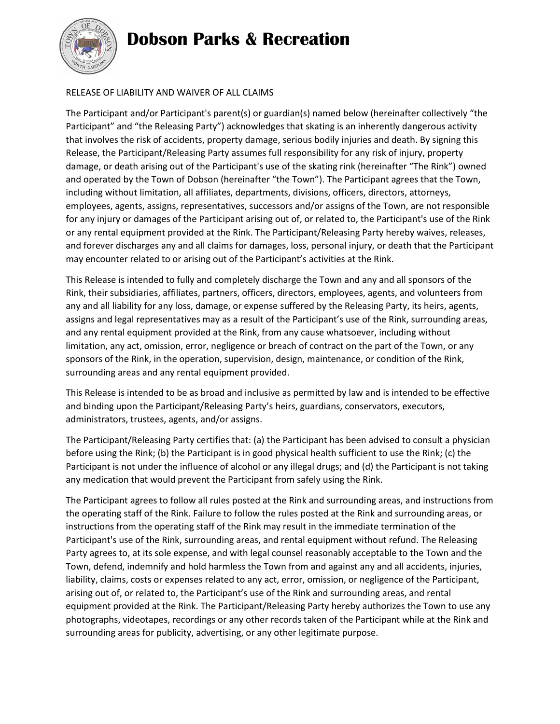## **Dobson Parks & Recreation**

## RELEASE OF LIABILITY AND WAIVER OF ALL CLAIMS

The Participant and/or Participant's parent(s) or guardian(s) named below (hereinafter collectively "the Participant" and "the Releasing Party") acknowledges that skating is an inherently dangerous activity that involves the risk of accidents, property damage, serious bodily injuries and death. By signing this Release, the Participant/Releasing Party assumes full responsibility for any risk of injury, property damage, or death arising out of the Participant's use of the skating rink (hereinafter "The Rink") owned and operated by the Town of Dobson (hereinafter "the Town"). The Participant agrees that the Town, including without limitation, all affiliates, departments, divisions, officers, directors, attorneys, employees, agents, assigns, representatives, successors and/or assigns of the Town, are not responsible for any injury or damages of the Participant arising out of, or related to, the Participant's use of the Rink or any rental equipment provided at the Rink. The Participant/Releasing Party hereby waives, releases, and forever discharges any and all claims for damages, loss, personal injury, or death that the Participant may encounter related to or arising out of the Participant's activities at the Rink.

This Release is intended to fully and completely discharge the Town and any and all sponsors of the Rink, their subsidiaries, affiliates, partners, officers, directors, employees, agents, and volunteers from any and all liability for any loss, damage, or expense suffered by the Releasing Party, its heirs, agents, assigns and legal representatives may as a result of the Participant's use of the Rink, surrounding areas, and any rental equipment provided at the Rink, from any cause whatsoever, including without limitation, any act, omission, error, negligence or breach of contract on the part of the Town, or any sponsors of the Rink, in the operation, supervision, design, maintenance, or condition of the Rink, surrounding areas and any rental equipment provided.

This Release is intended to be as broad and inclusive as permitted by law and is intended to be effective and binding upon the Participant/Releasing Party's heirs, guardians, conservators, executors, administrators, trustees, agents, and/or assigns.

The Participant/Releasing Party certifies that: (a) the Participant has been advised to consult a physician before using the Rink; (b) the Participant is in good physical health sufficient to use the Rink; (c) the Participant is not under the influence of alcohol or any illegal drugs; and (d) the Participant is not taking any medication that would prevent the Participant from safely using the Rink.

The Participant agrees to follow all rules posted at the Rink and surrounding areas, and instructions from the operating staff of the Rink. Failure to follow the rules posted at the Rink and surrounding areas, or instructions from the operating staff of the Rink may result in the immediate termination of the Participant's use of the Rink, surrounding areas, and rental equipment without refund. The Releasing Party agrees to, at its sole expense, and with legal counsel reasonably acceptable to the Town and the Town, defend, indemnify and hold harmless the Town from and against any and all accidents, injuries, liability, claims, costs or expenses related to any act, error, omission, or negligence of the Participant, arising out of, or related to, the Participant's use of the Rink and surrounding areas, and rental equipment provided at the Rink. The Participant/Releasing Party hereby authorizes the Town to use any photographs, videotapes, recordings or any other records taken of the Participant while at the Rink and surrounding areas for publicity, advertising, or any other legitimate purpose.